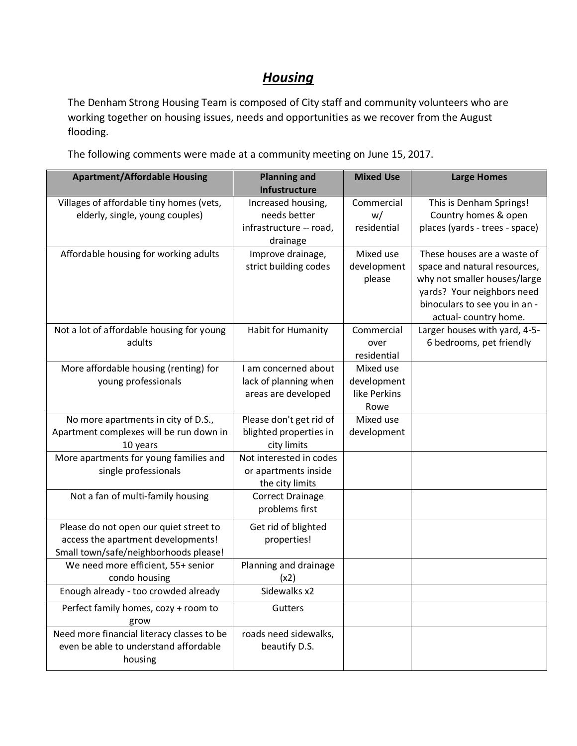## *Housing*

The Denham Strong Housing Team is composed of City staff and community volunteers who are working together on housing issues, needs and opportunities as we recover from the August flooding.

The following comments were made at a community meeting on June 15, 2017.

| <b>Apartment/Affordable Housing</b>                                                                                   | <b>Mixed Use</b><br><b>Planning and</b><br>Infustructure                  |                                                  | <b>Large Homes</b>                                                                                                                                                                 |
|-----------------------------------------------------------------------------------------------------------------------|---------------------------------------------------------------------------|--------------------------------------------------|------------------------------------------------------------------------------------------------------------------------------------------------------------------------------------|
| Villages of affordable tiny homes (vets,<br>elderly, single, young couples)                                           | Increased housing,<br>needs better<br>infrastructure -- road,<br>drainage | Commercial<br>w/<br>residential                  | This is Denham Springs!<br>Country homes & open<br>places (yards - trees - space)                                                                                                  |
| Affordable housing for working adults                                                                                 | Improve drainage,<br>strict building codes                                | Mixed use<br>development<br>please               | These houses are a waste of<br>space and natural resources,<br>why not smaller houses/large<br>yards? Your neighbors need<br>binoculars to see you in an -<br>actual-country home. |
| Not a lot of affordable housing for young<br>adults                                                                   | Habit for Humanity                                                        | Commercial<br>over<br>residential                | Larger houses with yard, 4-5-<br>6 bedrooms, pet friendly                                                                                                                          |
| More affordable housing (renting) for<br>young professionals                                                          | I am concerned about<br>lack of planning when<br>areas are developed      | Mixed use<br>development<br>like Perkins<br>Rowe |                                                                                                                                                                                    |
| No more apartments in city of D.S.,<br>Apartment complexes will be run down in<br>10 years                            | Please don't get rid of<br>blighted properties in<br>city limits          | Mixed use<br>development                         |                                                                                                                                                                                    |
| More apartments for young families and<br>single professionals                                                        | Not interested in codes<br>or apartments inside<br>the city limits        |                                                  |                                                                                                                                                                                    |
| Not a fan of multi-family housing                                                                                     | <b>Correct Drainage</b><br>problems first                                 |                                                  |                                                                                                                                                                                    |
| Please do not open our quiet street to<br>access the apartment developments!<br>Small town/safe/neighborhoods please! | Get rid of blighted<br>properties!                                        |                                                  |                                                                                                                                                                                    |
| We need more efficient, 55+ senior<br>condo housing                                                                   | Planning and drainage<br>(x2)                                             |                                                  |                                                                                                                                                                                    |
| Enough already - too crowded already                                                                                  | Sidewalks x2                                                              |                                                  |                                                                                                                                                                                    |
| Perfect family homes, cozy + room to<br>grow                                                                          | Gutters                                                                   |                                                  |                                                                                                                                                                                    |
| Need more financial literacy classes to be<br>even be able to understand affordable<br>housing                        | roads need sidewalks,<br>beautify D.S.                                    |                                                  |                                                                                                                                                                                    |